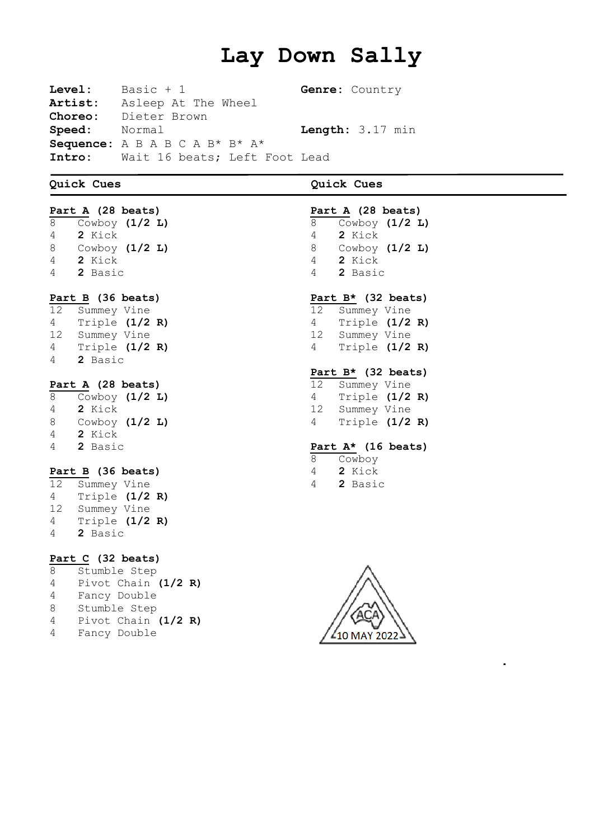# **Lay Down Sally**

**Level:** Basic + 1 **Genre:** Country **Artist:** Asleep At The Wheel **Choreo:** Dieter Brown **Speed:** Normal **Length:** 3.17 min **Sequence:** A B A B C A B\* B\* A\* **Intro:** Wait 16 beats; Left Foot Lead

## **Quick Cues Quick Cues**

**Part A (28 beats)** Cowboy **(1/2 L) 2** Kick Cowboy **(1/2 L) 2** Kick **2** Basic **Part B (36 beats)** Summey Vine Triple **(1/2 R)** Summey Vine Triple **(1/2 R) 2** Basic

# **Part A (28 beats)**

 Cowboy **(1/2 L) 2** Kick Cowboy **(1/2 L) 2** Kick **2** Basic

### **Part B (36 beats)**

 Summey Vine Triple **(1/2 R)** Summey Vine Triple **(1/2 R) 2** Basic

# **Part C (32 beats)**

 Stumble Step Pivot Chain **(1/2 R)** Fancy Double Stumble Step Pivot Chain **(1/2 R)** Fancy Double

|    | Part A (28 beats)     |  |
|----|-----------------------|--|
| 8  | Cowboy (1/2 L)        |  |
| 4  | 2 Kick                |  |
| 8  | Cowboy $(1/2 L)$      |  |
| 4  | 2 Kick                |  |
| 4  | 2 Basic               |  |
|    |                       |  |
|    | Part $B*$ (32 beats)  |  |
|    | 12 Summey Vine        |  |
| 4  | Triple $(1/2 R)$      |  |
|    | 12 Summey Vine        |  |
| 4  | Triple $(1/2 R)$      |  |
|    |                       |  |
|    | Part B* (32 beats)    |  |
|    |                       |  |
| 12 | Summey Vine           |  |
| 4  | Triple $(1/2 R)$      |  |
|    | 12 Summey Vine        |  |
| 4  | Triple (1/2 R)        |  |
|    |                       |  |
|    | Part $A^*$ (16 beats) |  |
| 8  | Cowboy                |  |
| 4  | 2 Kick                |  |
| 4  | 2 Basic               |  |